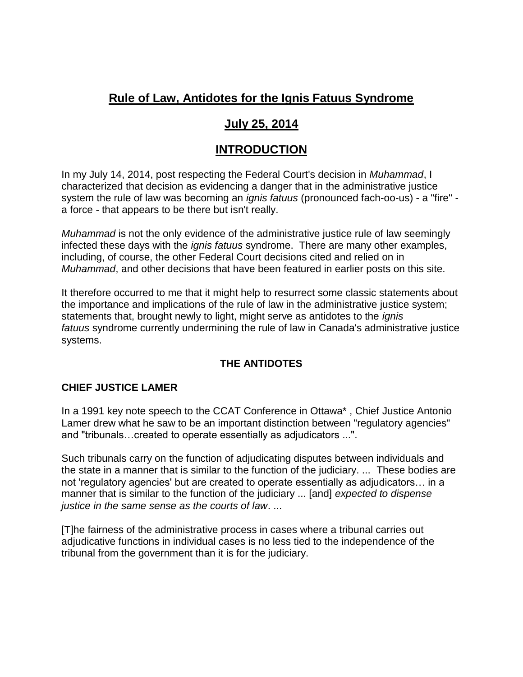# **[Rule of Law, Antidotes for the Ignis Fatuus Syndrome](https://administrativejusticereform.ca/rule-law-ignis-fatuus-syndrome-antidotes/)**

# **July 25, 2014**

# **INTRODUCTION**

In my July 14, 2014, post respecting the Federal Court's decision in *Muhammad*, I characterized that decision as evidencing a danger that in the administrative justice system the rule of law was becoming an *ignis fatuus* (pronounced fach-oo-us) - a "fire" a force - that appears to be there but isn't really.

*Muhammad* is not the only evidence of the administrative justice rule of law seemingly infected these days with the *ignis fatuus* syndrome. There are many other examples, including, of course, the other Federal Court decisions cited and relied on in *Muhammad*, and other decisions that have been featured in earlier posts on this site.

It therefore occurred to me that it might help to resurrect some classic statements about the importance and implications of the rule of law in the administrative justice system; statements that, brought newly to light, might serve as antidotes to the *ignis fatuus* syndrome currently undermining the rule of law in Canada's administrative justice systems.

# **THE ANTIDOTES**

# **CHIEF JUSTICE LAMER**

In a 1991 key note speech to the CCAT Conference in Ottawa\* , Chief Justice Antonio Lamer drew what he saw to be an important distinction between "regulatory agencies" and "tribunals…created to operate essentially as adjudicators ...".

Such tribunals carry on the function of adjudicating disputes between individuals and the state in a manner that is similar to the function of the judiciary. ... These bodies are not 'regulatory agencies' but are created to operate essentially as adjudicators… in a manner that is similar to the function of the judiciary ... [and] *expected to dispense justice in the same sense as the courts of law*. ...

[T]he fairness of the administrative process in cases where a tribunal carries out adjudicative functions in individual cases is no less tied to the independence of the tribunal from the government than it is for the judiciary.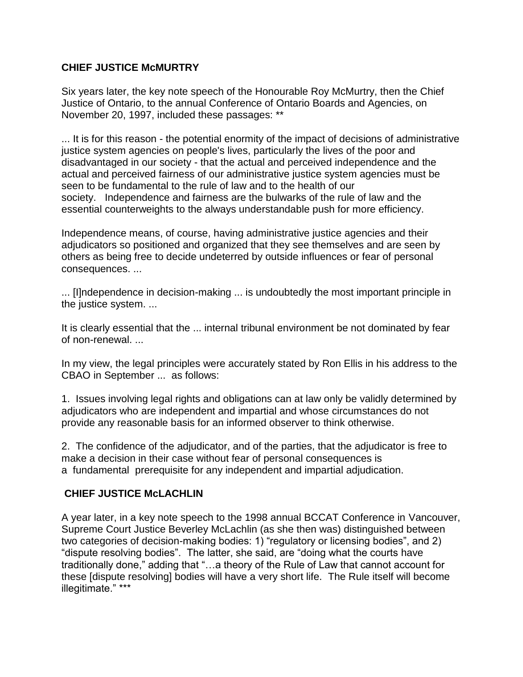#### **CHIEF JUSTICE McMURTRY**

Six years later, the key note speech of the Honourable Roy McMurtry, then the Chief Justice of Ontario, to the annual Conference of Ontario Boards and Agencies, on November 20, 1997, included these passages: \*\*

... It is for this reason - the potential enormity of the impact of decisions of administrative justice system agencies on people's lives, particularly the lives of the poor and disadvantaged in our society - that the actual and perceived independence and the actual and perceived fairness of our administrative justice system agencies must be seen to be fundamental to the rule of law and to the health of our society. Independence and fairness are the bulwarks of the rule of law and the essential counterweights to the always understandable push for more efficiency.

Independence means, of course, having administrative justice agencies and their adjudicators so positioned and organized that they see themselves and are seen by others as being free to decide undeterred by outside influences or fear of personal consequences. ...

... [I]ndependence in decision-making ... is undoubtedly the most important principle in the justice system. ...

It is clearly essential that the ... internal tribunal environment be not dominated by fear of non-renewal. ...

In my view, the legal principles were accurately stated by Ron Ellis in his address to the CBAO in September ... as follows:

1. Issues involving legal rights and obligations can at law only be validly determined by adjudicators who are independent and impartial and whose circumstances do not provide any reasonable basis for an informed observer to think otherwise.

2. The confidence of the adjudicator, and of the parties, that the adjudicator is free to make a decision in their case without fear of personal consequences is a fundamental prerequisite for any independent and impartial adjudication.

### **CHIEF JUSTICE McLACHLIN**

A year later, in a key note speech to the 1998 annual BCCAT Conference in Vancouver, Supreme Court Justice Beverley McLachlin (as she then was) distinguished between two categories of decision-making bodies: 1) "regulatory or licensing bodies", and 2) "dispute resolving bodies". The latter, she said, are "doing what the courts have traditionally done," adding that "…a theory of the Rule of Law that cannot account for these [dispute resolving] bodies will have a very short life. The Rule itself will become illegitimate." \*\*\*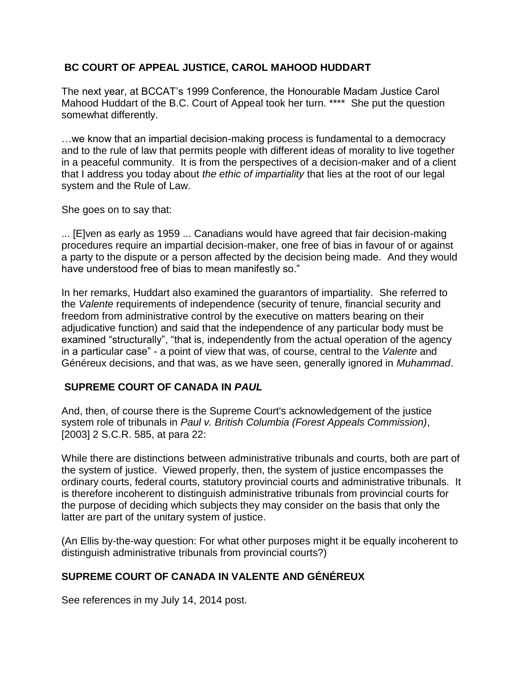### **BC COURT OF APPEAL JUSTICE, CAROL MAHOOD HUDDART**

The next year, at BCCAT's 1999 Conference, the Honourable Madam Justice Carol Mahood Huddart of the B.C. Court of Appeal took her turn. \*\*\*\* She put the question somewhat differently.

…we know that an impartial decision-making process is fundamental to a democracy and to the rule of law that permits people with different ideas of morality to live together in a peaceful community. It is from the perspectives of a decision-maker and of a client that I address you today about *the ethic of impartiality* that lies at the root of our legal system and the Rule of Law.

She goes on to say that:

... [E]ven as early as 1959 ... Canadians would have agreed that fair decision-making procedures require an impartial decision-maker, one free of bias in favour of or against a party to the dispute or a person affected by the decision being made. And they would have understood free of bias to mean manifestly so."

In her remarks, Huddart also examined the guarantors of impartiality. She referred to the *Valente* requirements of independence (security of tenure, financial security and freedom from administrative control by the executive on matters bearing on their adjudicative function) and said that the independence of any particular body must be examined "structurally", "that is, independently from the actual operation of the agency in a particular case" - a point of view that was, of course, central to the *Valente* and Généreux decisions, and that was, as we have seen, generally ignored in *Muhammad*.

#### **SUPREME COURT OF CANADA IN** *PAUL*

And, then, of course there is the Supreme Court's acknowledgement of the justice system role of tribunals in *Paul v. British Columbia (Forest Appeals Commission)*, [2003] 2 S.C.R. 585, at para 22:

While there are distinctions between administrative tribunals and courts, both are part of the system of justice. Viewed properly, then, the system of justice encompasses the ordinary courts, federal courts, statutory provincial courts and administrative tribunals. It is therefore incoherent to distinguish administrative tribunals from provincial courts for the purpose of deciding which subjects they may consider on the basis that only the latter are part of the unitary system of justice.

(An Ellis by-the-way question: For what other purposes might it be equally incoherent to distinguish administrative tribunals from provincial courts?)

# **SUPREME COURT OF CANADA IN VALENTE AND GÉNÉREUX**

See references in my July 14, 2014 post.